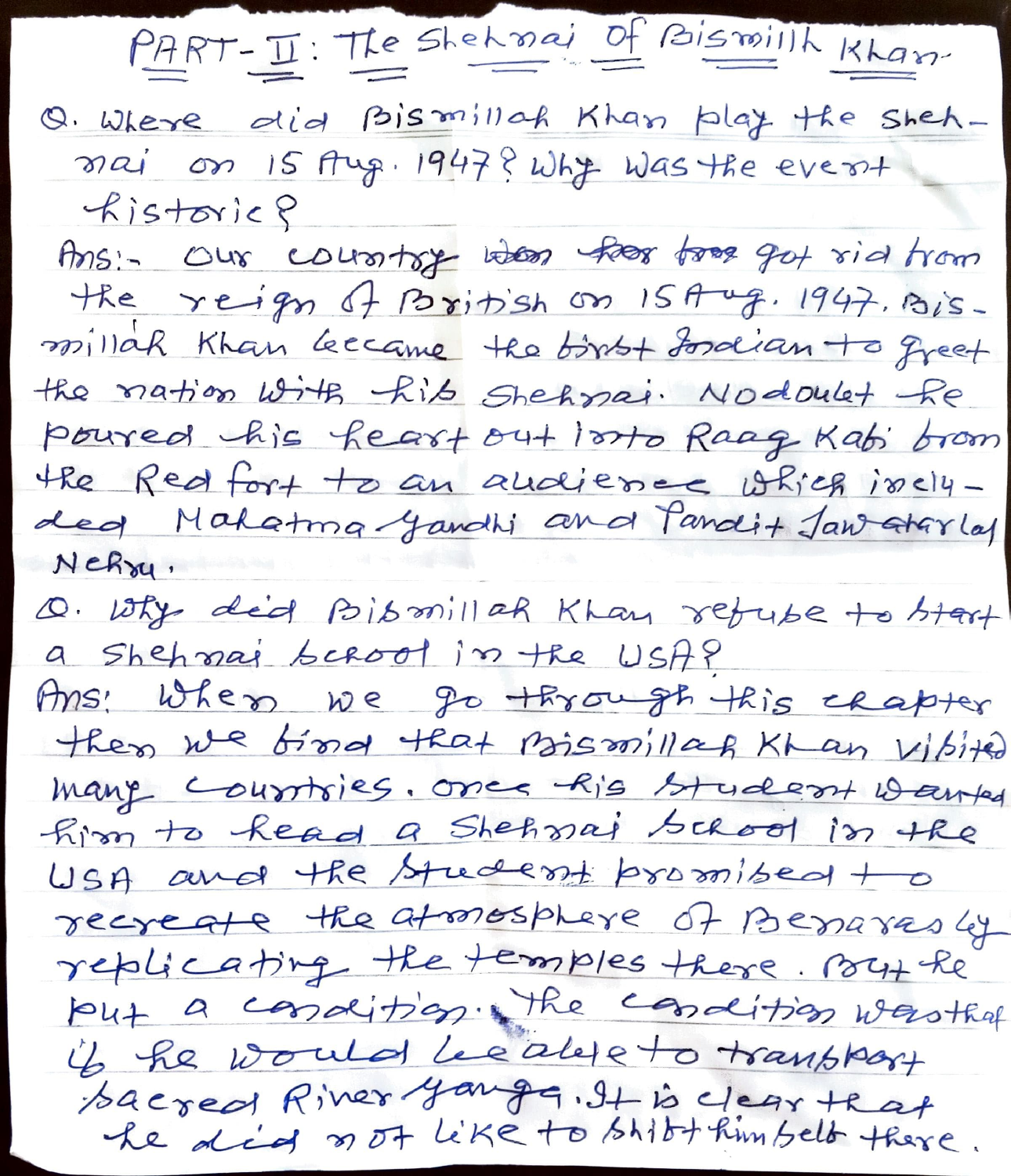PART-II: The Shehmai Of Bismillh Khan

Q. Where did Bismillah Khan play the Shehmai on 15 Aug. 1947? Why was the event  $R$ istoric ?

Ans:- Our country when her free got rid from the reign of Paritish on 15 Aug. 1947. Bismillah Khan Leecame the birst fordian to greet the nation with hib Shehmai. Nodoulet fe poured his heart out losto Raag Kabi brom the Red fort to an andience which iselyded Makatma Jandhi and Pandit Jan atarlas  $N$  $ch$  $\gamma$ u,

Q. Why did BIBmillah Khan returne to btart a shehmai beroot in the USA? Ans: When we go through this chapter then we find that nismillag Khan Vibited many courtoies. once his student wanted him to kead a Shehmai bacod in the USA and the student promised to recreate the atmosphere of Benarrosly replicating the temples there. By the put a condition. The condition wasthed if he would because to transfort bacred River yanger. It is clear that<br>he did not like to bhibthim belt there.